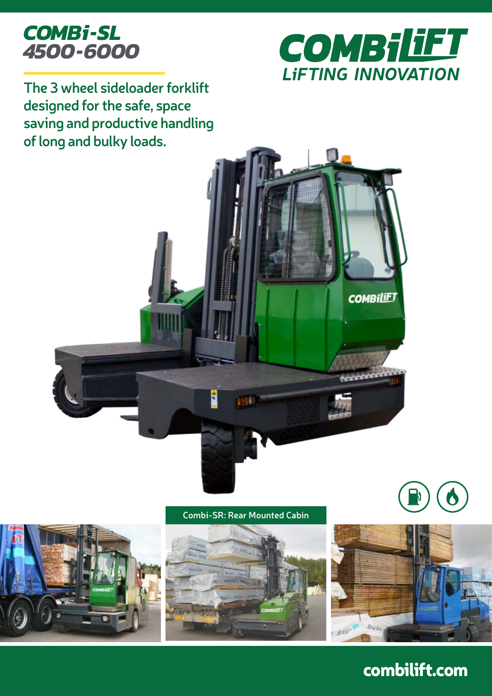



**The 3 wheel sideloader forklift designed for the safe, space saving and productive handling of long and bulky loads.**



**Combi-SR: Rear Mounted Cabin**







combilift.com